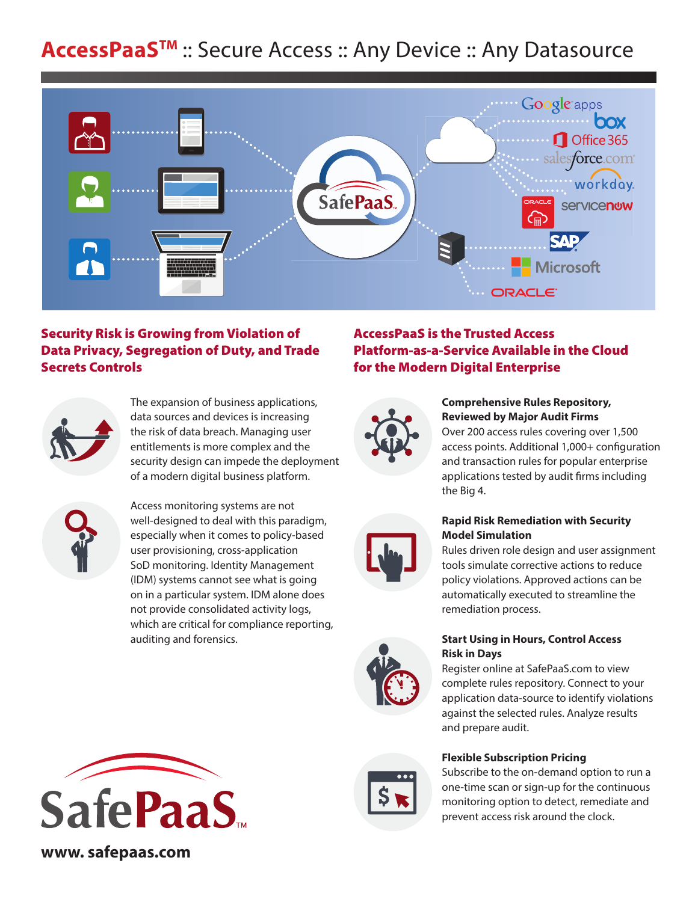# **AccessPaaSTM** :: Secure Access :: Any Device :: Any Datasource



# Security Risk is Growing from Violation of Data Privacy, Segregation of Duty, and Trade Secrets Controls



The expansion of business applications, data sources and devices is increasing the risk of data breach. Managing user entitlements is more complex and the security design can impede the deployment of a modern digital business platform.



Access monitoring systems are not well-designed to deal with this paradigm, especially when it comes to policy-based user provisioning, cross-application SoD monitoring. Identity Management (IDM) systems cannot see what is going on in a particular system. IDM alone does not provide consolidated activity logs, which are critical for compliance reporting, auditing and forensics.



**www. safepaas.com** 

# AccessPaaS is the Trusted Access Platform-as-a-Service Available in the Cloud for the Modern Digital Enterprise



### **Comprehensive Rules Repository, Reviewed by Major Audit Firms**

Over 200 access rules covering over 1,500 access points. Additional 1,000+ configuration and transaction rules for popular enterprise applications tested by audit firms including the Big 4.



## **Rapid Risk Remediation with Security Model Simulation**

Rules driven role design and user assignment tools simulate corrective actions to reduce policy violations. Approved actions can be automatically executed to streamline the remediation process.



## **Start Using in Hours, Control Access Risk in Days**

Register online at SafePaaS.com to view complete rules repository. Connect to your application data-source to identify violations against the selected rules. Analyze results and prepare audit.

# **Flexible Subscription Pricing**

Subscribe to the on-demand option to run a one-time scan or sign-up for the continuous monitoring option to detect, remediate and prevent access risk around the clock.